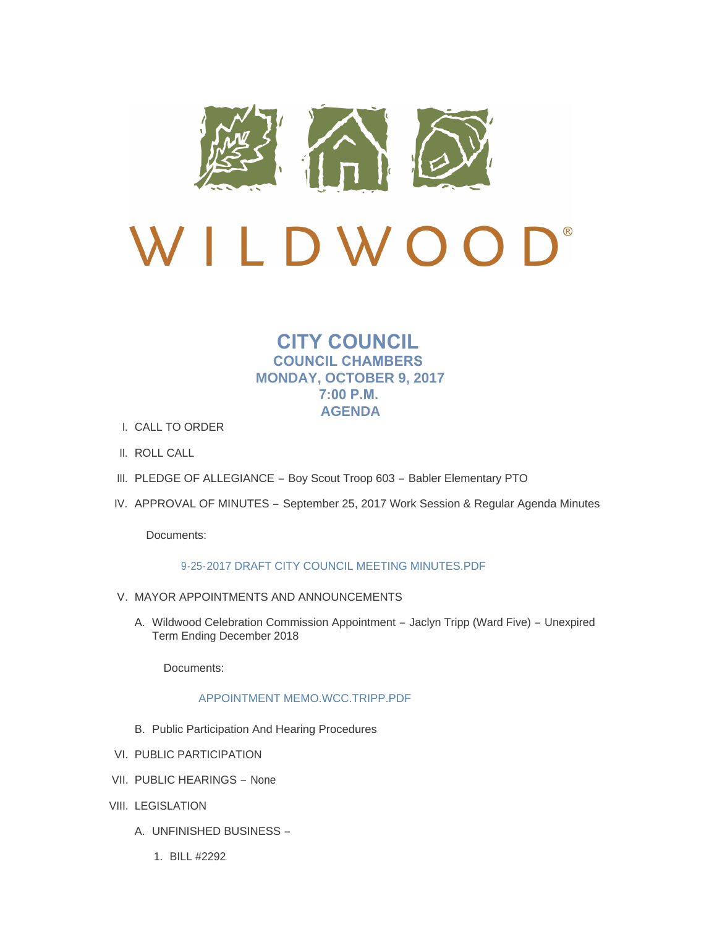

# $\mathbf{D}^*$ LDWOO

## **CITY COUNCIL COUNCIL CHAMBERS MONDAY, OCTOBER 9, 2017 7:00 P.M. AGENDA**

- CALL TO ORDER I.
- II. ROLL CALL
- III. PLEDGE OF ALLEGIANCE Boy Scout Troop 603 Babler Elementary PTO
- IV. APPROVAL OF MINUTES September 25, 2017 Work Session & Regular Agenda Minutes

Documents:

## [9-25-2017 DRAFT CITY COUNCIL MEETING MINUTES.PDF](http://www.cityofwildwood.com/AgendaCenter/ViewFile/Item/12556?fileID=18119)

- V. MAYOR APPOINTMENTS AND ANNOUNCEMENTS
	- A. Wildwood Celebration Commission Appointment Jaclyn Tripp (Ward Five) Unexpired Term Ending December 2018

Documents:

## [APPOINTMENT MEMO.WCC.TRIPP.PDF](http://www.cityofwildwood.com/AgendaCenter/ViewFile/Item/12625?fileID=18142)

- B. Public Participation And Hearing Procedures
- VI. PUBLIC PARTICIPATION
- VII. PUBLIC HEARINGS None
- VIII. LEGISLATION
	- UNFINISHED BUSINESS A.
		- BILL #2292 1.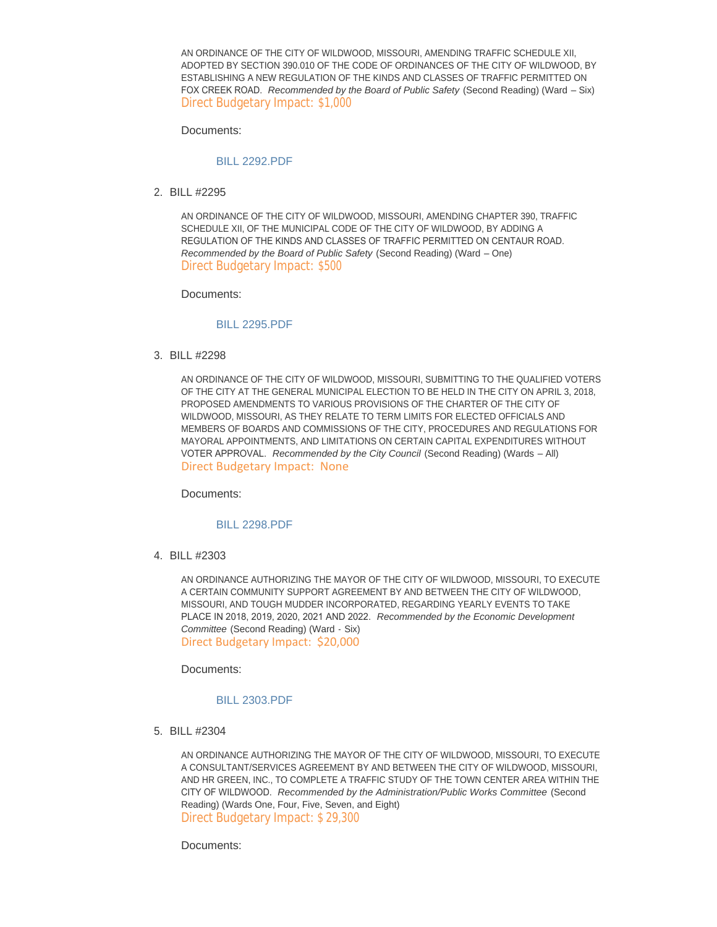AN ORDINANCE OF THE CITY OF WILDWOOD, MISSOURI, AMENDING TRAFFIC SCHEDULE XII, ADOPTED BY SECTION 390.010 OF THE CODE OF ORDINANCES OF THE CITY OF WILDWOOD, BY ESTABLISHING A NEW REGULATION OF THE KINDS AND CLASSES OF TRAFFIC PERMITTED ON FOX CREEK ROAD. *Recommended by the Board of Public Safety* (Second Reading) (Ward – Six) Direct Budgetary Impact: \$1,000

Documents:

## [BILL 2292.PDF](http://www.cityofwildwood.com/AgendaCenter/ViewFile/Item/12564?fileID=18054)

BILL #2295 2.

AN ORDINANCE OF THE CITY OF WILDWOOD, MISSOURI, AMENDING CHAPTER 390, TRAFFIC SCHEDULE XII, OF THE MUNICIPAL CODE OF THE CITY OF WILDWOOD, BY ADDING A REGULATION OF THE KINDS AND CLASSES OF TRAFFIC PERMITTED ON CENTAUR ROAD. *Recommended by the Board of Public Safety* (Second Reading) (Ward – One) Direct Budgetary Impact: \$500

Documents:

#### [BILL 2295.PDF](http://www.cityofwildwood.com/AgendaCenter/ViewFile/Item/12565?fileID=18055)

BILL #2298 3.

AN ORDINANCE OF THE CITY OF WILDWOOD, MISSOURI, SUBMITTING TO THE QUALIFIED VOTERS OF THE CITY AT THE GENERAL MUNICIPAL ELECTION TO BE HELD IN THE CITY ON APRIL 3, 2018, PROPOSED AMENDMENTS TO VARIOUS PROVISIONS OF THE CHARTER OF THE CITY OF WILDWOOD, MISSOURI, AS THEY RELATE TO TERM LIMITS FOR ELECTED OFFICIALS AND MEMBERS OF BOARDS AND COMMISSIONS OF THE CITY, PROCEDURES AND REGULATIONS FOR MAYORAL APPOINTMENTS, AND LIMITATIONS ON CERTAIN CAPITAL EXPENDITURES WITHOUT VOTER APPROVAL. *Recommended by the City Council* (Second Reading) (Wards – All) Direct Budgetary Impact: None

Documents:

#### [BILL 2298.PDF](http://www.cityofwildwood.com/AgendaCenter/ViewFile/Item/12566?fileID=18056)

BILL #2303 4.

AN ORDINANCE AUTHORIZING THE MAYOR OF THE CITY OF WILDWOOD, MISSOURI, TO EXECUTE A CERTAIN COMMUNITY SUPPORT AGREEMENT BY AND BETWEEN THE CITY OF WILDWOOD, MISSOURI, AND TOUGH MUDDER INCORPORATED, REGARDING YEARLY EVENTS TO TAKE PLACE IN 2018, 2019, 2020, 2021 AND 2022. *Recommended by the Economic Development Committee* (Second Reading) (Ward - Six) Direct Budgetary Impact: \$20,000

Documents:

## [BILL 2303.PDF](http://www.cityofwildwood.com/AgendaCenter/ViewFile/Item/12567?fileID=18081)

BILL #2304 5.

AN ORDINANCE AUTHORIZING THE MAYOR OF THE CITY OF WILDWOOD, MISSOURI, TO EXECUTE A CONSULTANT/SERVICES AGREEMENT BY AND BETWEEN THE CITY OF WILDWOOD, MISSOURI, AND HR GREEN, INC., TO COMPLETE A TRAFFIC STUDY OF THE TOWN CENTER AREA WITHIN THE CITY OF WILDWOOD. *Recommended by the Administration/Public Works Committee* (Second Reading) (Wards One, Four, Five, Seven, and Eight) Direct Budgetary Impact: \$ 29,300

Documents: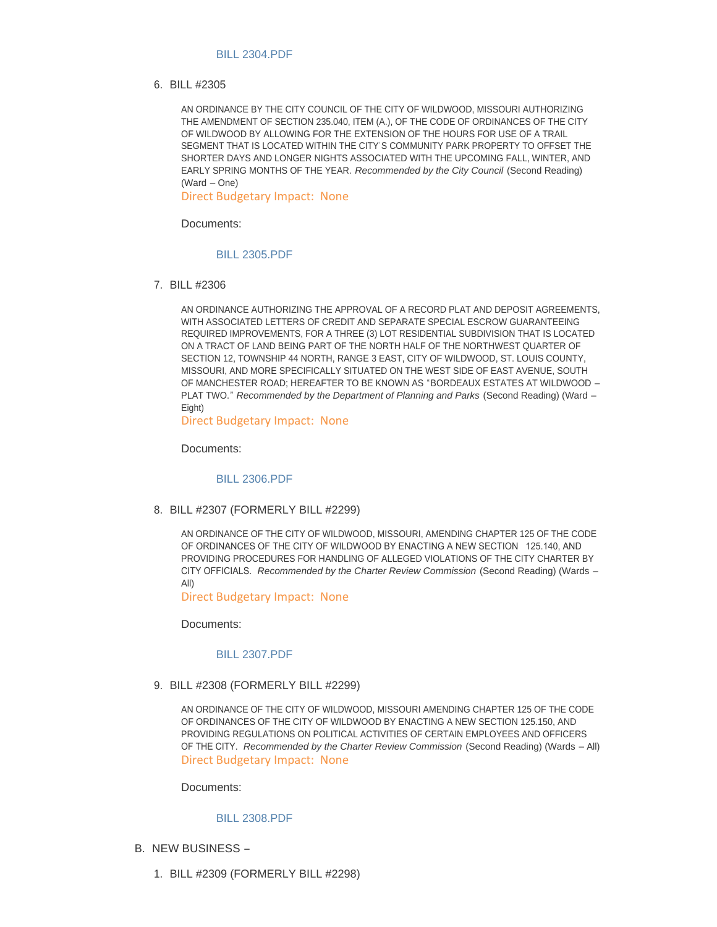#### [BILL 2304.PDF](http://www.cityofwildwood.com/AgendaCenter/ViewFile/Item/12568?fileID=18058)

BILL #2305 6.

AN ORDINANCE BY THE CITY COUNCIL OF THE CITY OF WILDWOOD, MISSOURI AUTHORIZING THE AMENDMENT OF SECTION 235.040, ITEM (A.), OF THE CODE OF ORDINANCES OF THE CITY OF WILDWOOD BY ALLOWING FOR THE EXTENSION OF THE HOURS FOR USE OF A TRAIL SEGMENT THAT IS LOCATED WITHIN THE CITY'S COMMUNITY PARK PROPERTY TO OFFSET THE SHORTER DAYS AND LONGER NIGHTS ASSOCIATED WITH THE UPCOMING FALL, WINTER, AND EARLY SPRING MONTHS OF THE YEAR. *Recommended by the City Council* (Second Reading) (Ward – One)

Direct Budgetary Impact: None

Documents:

## [BILL 2305.PDF](http://www.cityofwildwood.com/AgendaCenter/ViewFile/Item/12569?fileID=18059)

BILL #2306 7.

AN ORDINANCE AUTHORIZING THE APPROVAL OF A RECORD PLAT AND DEPOSIT AGREEMENTS, WITH ASSOCIATED LETTERS OF CREDIT AND SEPARATE SPECIAL ESCROW GUARANTEEING REQUIRED IMPROVEMENTS, FOR A THREE (3) LOT RESIDENTIAL SUBDIVISION THAT IS LOCATED ON A TRACT OF LAND BEING PART OF THE NORTH HALF OF THE NORTHWEST QUARTER OF SECTION 12, TOWNSHIP 44 NORTH, RANGE 3 EAST, CITY OF WILDWOOD, ST. LOUIS COUNTY, MISSOURI, AND MORE SPECIFICALLY SITUATED ON THE WEST SIDE OF EAST AVENUE, SOUTH OF MANCHESTER ROAD; HEREAFTER TO BE KNOWN AS "BORDEAUX ESTATES AT WILDWOOD – PLAT TWO." *Recommended by the Department of Planning and Parks* (Second Reading) (Ward – Eight)

Direct Budgetary Impact: None

Documents:

#### [BILL 2306.PDF](http://www.cityofwildwood.com/AgendaCenter/ViewFile/Item/12570?fileID=18060)

BILL #2307 (FORMERLY BILL #2299) 8.

AN ORDINANCE OF THE CITY OF WILDWOOD, MISSOURI, AMENDING CHAPTER 125 OF THE CODE OF ORDINANCES OF THE CITY OF WILDWOOD BY ENACTING A NEW SECTION 125.140, AND PROVIDING PROCEDURES FOR HANDLING OF ALLEGED VIOLATIONS OF THE CITY CHARTER BY CITY OFFICIALS. *Recommended by the Charter Review Commission* (Second Reading) (Wards – All)

Direct Budgetary Impact: None

Documents:

#### [BILL 2307.PDF](http://www.cityofwildwood.com/AgendaCenter/ViewFile/Item/12571?fileID=18061)

BILL #2308 (FORMERLY BILL #2299) 9.

AN ORDINANCE OF THE CITY OF WILDWOOD, MISSOURI AMENDING CHAPTER 125 OF THE CODE OF ORDINANCES OF THE CITY OF WILDWOOD BY ENACTING A NEW SECTION 125.150, AND PROVIDING REGULATIONS ON POLITICAL ACTIVITIES OF CERTAIN EMPLOYEES AND OFFICERS OF THE CITY. *Recommended by the Charter Review Commission* (Second Reading) (Wards – All) Direct Budgetary Impact: None

Documents:

## [BILL 2308.PDF](http://www.cityofwildwood.com/AgendaCenter/ViewFile/Item/12572?fileID=18062)

- B. NEW BUSINESS
	- BILL #2309 (FORMERLY BILL #2298) 1.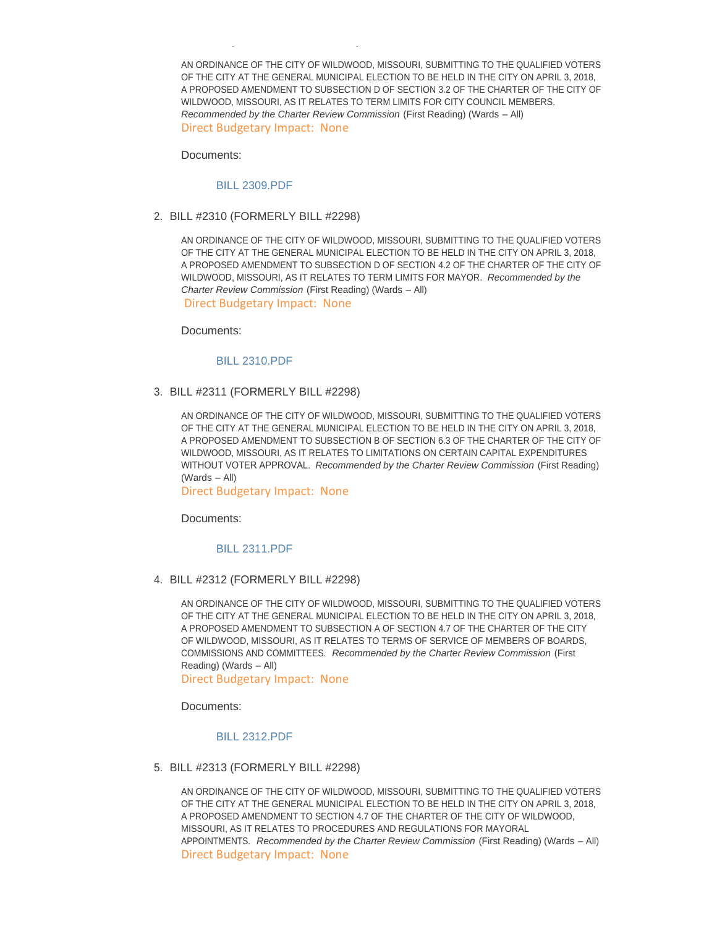AN ORDINANCE OF THE CITY OF WILDWOOD, MISSOURI, SUBMITTING TO THE QUALIFIED VOTERS OF THE CITY AT THE GENERAL MUNICIPAL ELECTION TO BE HELD IN THE CITY ON APRIL 3, 2018, A PROPOSED AMENDMENT TO SUBSECTION D OF SECTION 3.2 OF THE CHARTER OF THE CITY OF WILDWOOD, MISSOURI, AS IT RELATES TO TERM LIMITS FOR CITY COUNCIL MEMBERS. *Recommended by the Charter Review Commission* (First Reading) (Wards – All) Direct Budgetary Impact: None

Documents:

#### [BILL 2309.PDF](http://www.cityofwildwood.com/AgendaCenter/ViewFile/Item/12574?fileID=18063)

BILL #2309 (FORMERLY BILL #2298)

#### BILL #2310 (FORMERLY BILL #2298) 2.

AN ORDINANCE OF THE CITY OF WILDWOOD, MISSOURI, SUBMITTING TO THE QUALIFIED VOTERS OF THE CITY AT THE GENERAL MUNICIPAL ELECTION TO BE HELD IN THE CITY ON APRIL 3, 2018, A PROPOSED AMENDMENT TO SUBSECTION D OF SECTION 4.2 OF THE CHARTER OF THE CITY OF WILDWOOD, MISSOURI, AS IT RELATES TO TERM LIMITS FOR MAYOR. *Recommended by the Charter Review Commission* (First Reading) (Wards – All)

Direct Budgetary Impact: None

Documents:

#### [BILL 2310.PDF](http://www.cityofwildwood.com/AgendaCenter/ViewFile/Item/12575?fileID=18064)

#### BILL #2311 (FORMERLY BILL #2298) 3.

AN ORDINANCE OF THE CITY OF WILDWOOD, MISSOURI, SUBMITTING TO THE QUALIFIED VOTERS OF THE CITY AT THE GENERAL MUNICIPAL ELECTION TO BE HELD IN THE CITY ON APRIL 3, 2018, A PROPOSED AMENDMENT TO SUBSECTION B OF SECTION 6.3 OF THE CHARTER OF THE CITY OF WILDWOOD, MISSOURI, AS IT RELATES TO LIMITATIONS ON CERTAIN CAPITAL EXPENDITURES WITHOUT VOTER APPROVAL. *Recommended by the Charter Review Commission* (First Reading) (Wards – All)

Direct Budgetary Impact: None

Documents:

## [BILL 2311.PDF](http://www.cityofwildwood.com/AgendaCenter/ViewFile/Item/12576?fileID=18065)

BILL #2312 (FORMERLY BILL #2298) 4.

AN ORDINANCE OF THE CITY OF WILDWOOD, MISSOURI, SUBMITTING TO THE QUALIFIED VOTERS OF THE CITY AT THE GENERAL MUNICIPAL ELECTION TO BE HELD IN THE CITY ON APRIL 3, 2018, A PROPOSED AMENDMENT TO SUBSECTION A OF SECTION 4.7 OF THE CHARTER OF THE CITY OF WILDWOOD, MISSOURI, AS IT RELATES TO TERMS OF SERVICE OF MEMBERS OF BOARDS, COMMISSIONS AND COMMITTEES. *Recommended by the Charter Review Commission* (First Reading) (Wards – All)

Direct Budgetary Impact: None

Documents:

## [BILL 2312.PDF](http://www.cityofwildwood.com/AgendaCenter/ViewFile/Item/12577?fileID=18066)

BILL #2313 (FORMERLY BILL #2298) 5.

AN ORDINANCE OF THE CITY OF WILDWOOD, MISSOURI, SUBMITTING TO THE QUALIFIED VOTERS OF THE CITY AT THE GENERAL MUNICIPAL ELECTION TO BE HELD IN THE CITY ON APRIL 3, 2018, A PROPOSED AMENDMENT TO SECTION 4.7 OF THE CHARTER OF THE CITY OF WILDWOOD, MISSOURI, AS IT RELATES TO PROCEDURES AND REGULATIONS FOR MAYORAL APPOINTMENTS. *Recommended by the Charter Review Commission* (First Reading) (Wards – All) Direct Budgetary Impact: None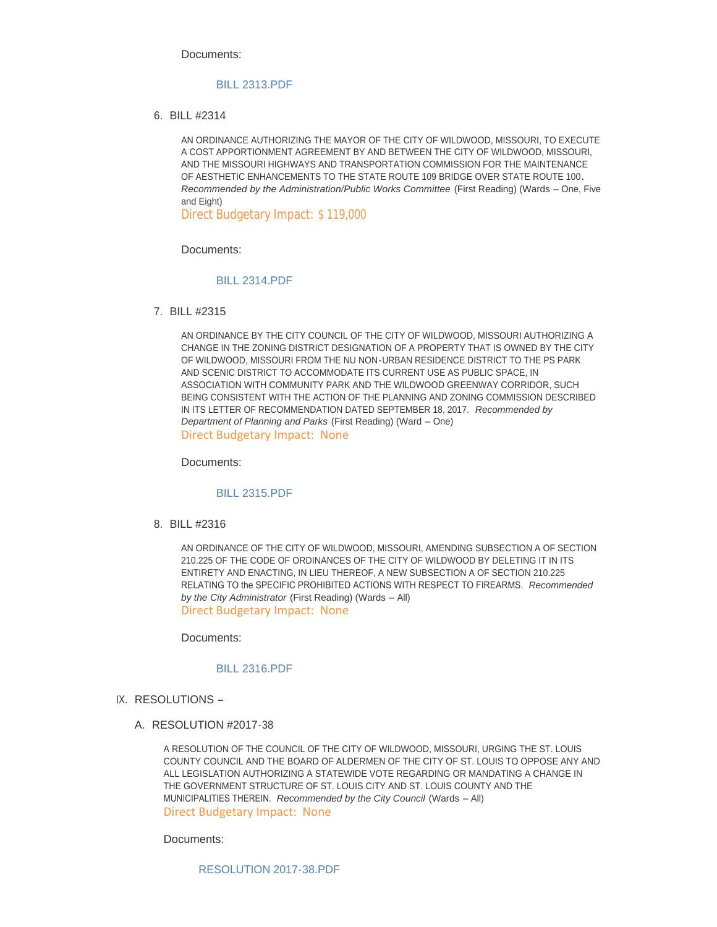Documents:

## [BILL 2313.PDF](http://www.cityofwildwood.com/AgendaCenter/ViewFile/Item/12578?fileID=18067)

BILL #2314 6.

AN ORDINANCE AUTHORIZING THE MAYOR OF THE CITY OF WILDWOOD, MISSOURI, TO EXECUTE A COST APPORTIONMENT AGREEMENT BY AND BETWEEN THE CITY OF WILDWOOD, MISSOURI, AND THE MISSOURI HIGHWAYS AND TRANSPORTATION COMMISSION FOR THE MAINTENANCE OF AESTHETIC ENHANCEMENTS TO THE STATE ROUTE 109 BRIDGE OVER STATE ROUTE 100**.**  *Recommended by the Administration/Public Works Committee* (First Reading) (Wards – One, Five and Eight)

Direct Budgetary Impact: \$ 119,000

Documents:

## [BILL 2314.PDF](http://www.cityofwildwood.com/AgendaCenter/ViewFile/Item/12579?fileID=18068)

BILL #2315 7.

AN ORDINANCE BY THE CITY COUNCIL OF THE CITY OF WILDWOOD, MISSOURI AUTHORIZING A CHANGE IN THE ZONING DISTRICT DESIGNATION OF A PROPERTY THAT IS OWNED BY THE CITY OF WILDWOOD, MISSOURI FROM THE NU NON-URBAN RESIDENCE DISTRICT TO THE PS PARK AND SCENIC DISTRICT TO ACCOMMODATE ITS CURRENT USE AS PUBLIC SPACE, IN ASSOCIATION WITH COMMUNITY PARK AND THE WILDWOOD GREENWAY CORRIDOR, SUCH BEING CONSISTENT WITH THE ACTION OF THE PLANNING AND ZONING COMMISSION DESCRIBED IN ITS LETTER OF RECOMMENDATION DATED SEPTEMBER 18, 2017. *Recommended by Department of Planning and Parks* (First Reading) (Ward – One) Direct Budgetary Impact: None

Documents:

## [BILL 2315.PDF](http://www.cityofwildwood.com/AgendaCenter/ViewFile/Item/12580?fileID=18069)

BILL #2316 8.

AN ORDINANCE OF THE CITY OF WILDWOOD, MISSOURI, AMENDING SUBSECTION A OF SECTION 210.225 OF THE CODE OF ORDINANCES OF THE CITY OF WILDWOOD BY DELETING IT IN ITS ENTIRETY AND ENACTING, IN LIEU THEREOF, A NEW SUBSECTION A OF SECTION 210.225 RELATING TO the SPECIFIC PROHIBITED ACTIONS WITH RESPECT TO FIREARMS. *Recommended by the City Administrator* (First Reading) (Wards – All) Direct Budgetary Impact: None

Documents:

## [BILL 2316.PDF](http://www.cityofwildwood.com/AgendaCenter/ViewFile/Item/12581?fileID=18070)

- IX. RESOLUTIONS
	- A. RESOLUTION #2017-38

A RESOLUTION OF THE COUNCIL OF THE CITY OF WILDWOOD, MISSOURI, URGING THE ST. LOUIS COUNTY COUNCIL AND THE BOARD OF ALDERMEN OF THE CITY OF ST. LOUIS TO OPPOSE ANY AND ALL LEGISLATION AUTHORIZING A STATEWIDE VOTE REGARDING OR MANDATING A CHANGE IN THE GOVERNMENT STRUCTURE OF ST. LOUIS CITY AND ST. LOUIS COUNTY AND THE MUNICIPALITIES THEREIN. *Recommended by the City Council* (Wards – All) Direct Budgetary Impact: None

Documents: